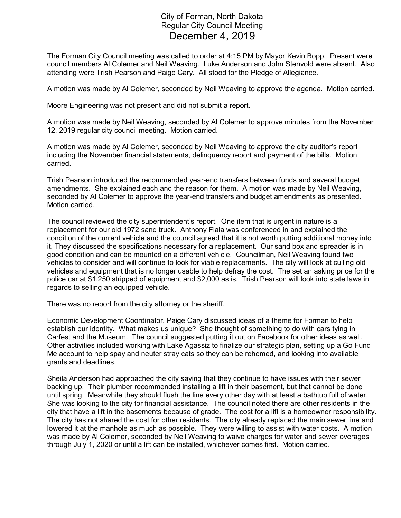## City of Forman, North Dakota Regular City Council Meeting December 4, 2019

The Forman City Council meeting was called to order at 4:15 PM by Mayor Kevin Bopp. Present were council members Al Colemer and Neil Weaving. Luke Anderson and John Stenvold were absent. Also attending were Trish Pearson and Paige Cary. All stood for the Pledge of Allegiance.

A motion was made by Al Colemer, seconded by Neil Weaving to approve the agenda. Motion carried.

Moore Engineering was not present and did not submit a report.

A motion was made by Neil Weaving, seconded by Al Colemer to approve minutes from the November 12, 2019 regular city council meeting. Motion carried.

A motion was made by Al Colemer, seconded by Neil Weaving to approve the city auditor's report including the November financial statements, delinquency report and payment of the bills. Motion carried.

Trish Pearson introduced the recommended year-end transfers between funds and several budget amendments. She explained each and the reason for them. A motion was made by Neil Weaving, seconded by Al Colemer to approve the year-end transfers and budget amendments as presented. Motion carried.

The council reviewed the city superintendent's report. One item that is urgent in nature is a replacement for our old 1972 sand truck. Anthony Fiala was conferenced in and explained the condition of the current vehicle and the council agreed that it is not worth putting additional money into it. They discussed the specifications necessary for a replacement. Our sand box and spreader is in good condition and can be mounted on a different vehicle. Councilman, Neil Weaving found two vehicles to consider and will continue to look for viable replacements. The city will look at culling old vehicles and equipment that is no longer usable to help defray the cost. The set an asking price for the police car at \$1,250 stripped of equipment and \$2,000 as is. Trish Pearson will look into state laws in regards to selling an equipped vehicle.

There was no report from the city attorney or the sheriff.

Economic Development Coordinator, Paige Cary discussed ideas of a theme for Forman to help establish our identity. What makes us unique? She thought of something to do with cars tying in Carfest and the Museum. The council suggested putting it out on Facebook for other ideas as well. Other activities included working with Lake Agassiz to finalize our strategic plan, setting up a Go Fund Me account to help spay and neuter stray cats so they can be rehomed, and looking into available grants and deadlines.

Sheila Anderson had approached the city saying that they continue to have issues with their sewer backing up. Their plumber recommended installing a lift in their basement, but that cannot be done until spring. Meanwhile they should flush the line every other day with at least a bathtub full of water. She was looking to the city for financial assistance. The council noted there are other residents in the city that have a lift in the basements because of grade. The cost for a lift is a homeowner responsibility. The city has not shared the cost for other residents. The city already replaced the main sewer line and lowered it at the manhole as much as possible. They were willing to assist with water costs. A motion was made by Al Colemer, seconded by Neil Weaving to waive charges for water and sewer overages through July 1, 2020 or until a lift can be installed, whichever comes first. Motion carried.